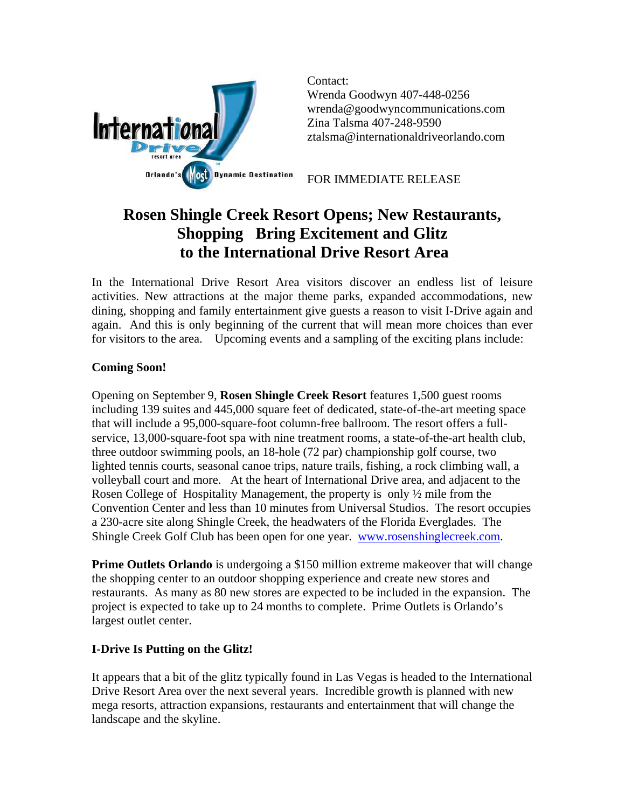

Contact: Wrenda Goodwyn 407-448-0256 wrenda@goodwyncommunications.com Zina Talsma 407-248-9590 [ztalsma@internationaldriveorlando.com](mailto:ztalsma@internationaldriveorlando.com)

FOR IMMEDIATE RELEASE

# **Rosen Shingle Creek Resort Opens; New Restaurants, Shopping Bring Excitement and Glitz to the International Drive Resort Area**

In the International Drive Resort Area visitors discover an endless list of leisure activities. New attractions at the major theme parks, expanded accommodations, new dining, shopping and family entertainment give guests a reason to visit I-Drive again and again. And this is only beginning of the current that will mean more choices than ever for visitors to the area. Upcoming events and a sampling of the exciting plans include:

## **Coming Soon!**

Opening on September 9, **Rosen Shingle Creek Resort** features 1,500 guest rooms including 139 suites and 445,000 square feet of dedicated, state-of-the-art meeting space that will include a 95,000-square-foot column-free ballroom. The resort offers a fullservice, 13,000-square-foot spa with nine treatment rooms, a state-of-the-art health club, three outdoor swimming pools, an 18-hole (72 par) championship golf course, two lighted tennis courts, seasonal canoe trips, nature trails, fishing, a rock climbing wall, a volleyball court and more. At the heart of International Drive area, and adjacent to the Rosen College of Hospitality Management, the property is only ½ mile from the Convention Center and less than 10 minutes from Universal Studios. The resort occupies a 230-acre site along Shingle Creek, the headwaters of the Florida Everglades. The Shingle Creek Golf Club has been open for one year. [www.rosenshinglecreek.com](http://www.rosenshinglecreek.com/).

**Prime Outlets Orlando** is undergoing a \$150 million extreme makeover that will change the shopping center to an outdoor shopping experience and create new stores and restaurants. As many as 80 new stores are expected to be included in the expansion. The project is expected to take up to 24 months to complete. Prime Outlets is Orlando's largest outlet center.

## **I-Drive Is Putting on the Glitz!**

It appears that a bit of the glitz typically found in Las Vegas is headed to the International Drive Resort Area over the next several years. Incredible growth is planned with new mega resorts, attraction expansions, restaurants and entertainment that will change the landscape and the skyline.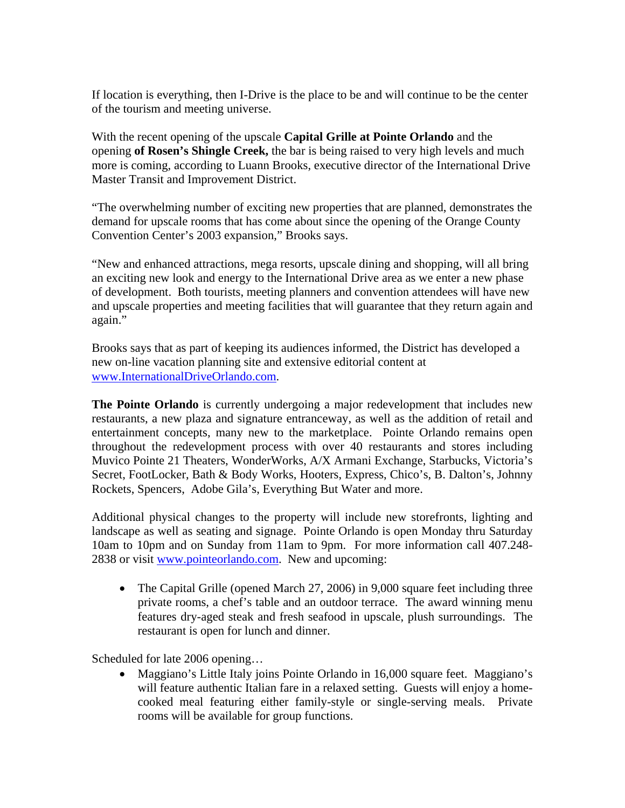If location is everything, then I-Drive is the place to be and will continue to be the center of the tourism and meeting universe.

With the recent opening of the upscale **Capital Grille at Pointe Orlando** and the opening **of Rosen's Shingle Creek,** the bar is being raised to very high levels and much more is coming, according to Luann Brooks, executive director of the International Drive Master Transit and Improvement District.

"The overwhelming number of exciting new properties that are planned, demonstrates the demand for upscale rooms that has come about since the opening of the Orange County Convention Center's 2003 expansion," Brooks says.

"New and enhanced attractions, mega resorts, upscale dining and shopping, will all bring an exciting new look and energy to the International Drive area as we enter a new phase of development. Both tourists, meeting planners and convention attendees will have new and upscale properties and meeting facilities that will guarantee that they return again and again."

Brooks says that as part of keeping its audiences informed, the District has developed a new on-line vacation planning site and extensive editorial content at [www.InternationalDriveOrlando.com.](http://www.internationaldriveorlando.com/)

**The Pointe Orlando** is currently undergoing a major redevelopment that includes new restaurants, a new plaza and signature entranceway, as well as the addition of retail and entertainment concepts, many new to the marketplace. Pointe Orlando remains open throughout the redevelopment process with over 40 restaurants and stores including Muvico Pointe 21 Theaters, WonderWorks, A/X Armani Exchange, Starbucks, Victoria's Secret, FootLocker, Bath & Body Works, Hooters, Express, Chico's, B. Dalton's, Johnny Rockets, Spencers, Adobe Gila's, Everything But Water and more.

Additional physical changes to the property will include new storefronts, lighting and landscape as well as seating and signage. Pointe Orlando is open Monday thru Saturday 10am to 10pm and on Sunday from 11am to 9pm. For more information call 407.248- 2838 or visit [www.pointeorlando.com](http://www.pointeorlando.com/). New and upcoming:

• The Capital Grille (opened March 27, 2006) in 9,000 square feet including three private rooms, a chef's table and an outdoor terrace. The award winning menu features dry-aged steak and fresh seafood in upscale, plush surroundings. The restaurant is open for lunch and dinner.

Scheduled for late 2006 opening…

• Maggiano's Little Italy joins Pointe Orlando in 16,000 square feet. Maggiano's will feature authentic Italian fare in a relaxed setting. Guests will enjoy a homecooked meal featuring either family-style or single-serving meals. Private rooms will be available for group functions.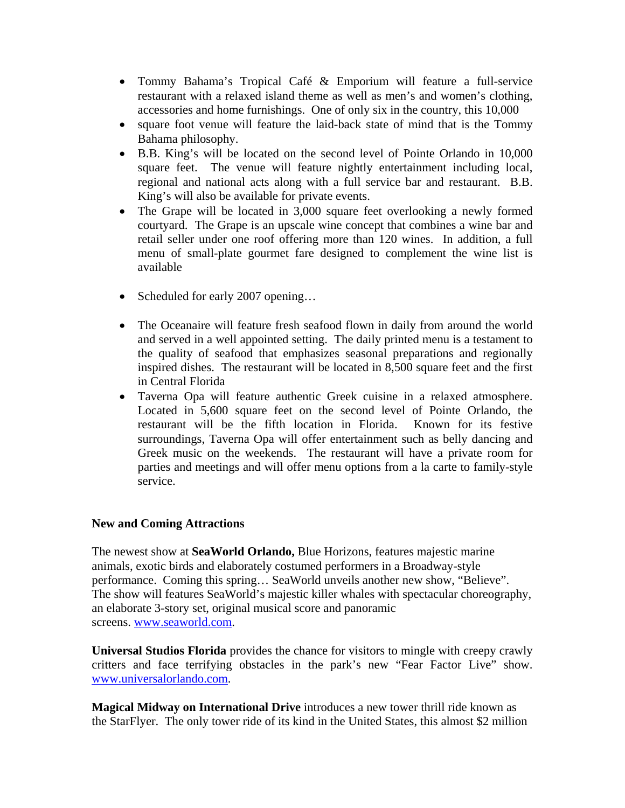- Tommy Bahama's Tropical Café & Emporium will feature a full-service restaurant with a relaxed island theme as well as men's and women's clothing, accessories and home furnishings. One of only six in the country, this 10,000
- square foot venue will feature the laid-back state of mind that is the Tommy Bahama philosophy.
- B.B. King's will be located on the second level of Pointe Orlando in 10,000 square feet. The venue will feature nightly entertainment including local, regional and national acts along with a full service bar and restaurant. B.B. King's will also be available for private events.
- The Grape will be located in 3,000 square feet overlooking a newly formed courtyard. The Grape is an upscale wine concept that combines a wine bar and retail seller under one roof offering more than 120 wines. In addition, a full menu of small-plate gourmet fare designed to complement the wine list is available
- Scheduled for early 2007 opening...
- The Oceanaire will feature fresh seafood flown in daily from around the world and served in a well appointed setting. The daily printed menu is a testament to the quality of seafood that emphasizes seasonal preparations and regionally inspired dishes. The restaurant will be located in 8,500 square feet and the first in Central Florida
- Taverna Opa will feature authentic Greek cuisine in a relaxed atmosphere. Located in 5,600 square feet on the second level of Pointe Orlando, the restaurant will be the fifth location in Florida. Known for its festive surroundings, Taverna Opa will offer entertainment such as belly dancing and Greek music on the weekends. The restaurant will have a private room for parties and meetings and will offer menu options from a la carte to family-style service.

## **New and Coming Attractions**

The newest show at **SeaWorld Orlando,** Blue Horizons, features majestic marine animals, exotic birds and elaborately costumed performers in a Broadway-style performance. Coming this spring… SeaWorld unveils another new show, "Believe". The show will features SeaWorld's majestic killer whales with spectacular choreography, an elaborate 3-story set, original musical score and panoramic screens. [www.seaworld.com](http://www.seaworld.com/).

**[Universal Studios](http://www.orlandoinfo.com/attractions/attract_splash.cfm?ID=42&cli_number=8501&areaname=attract) Florida** provides the chance for visitors to mingle with creepy crawly critters and face terrifying obstacles in the park's new "Fear Factor Live" show. [www.universalorlando.com](http://www.universalorlando.com/).

**Magical Midway on International Drive** introduces a new tower thrill ride known as the StarFlyer. The only tower ride of its kind in the United States, this almost \$2 million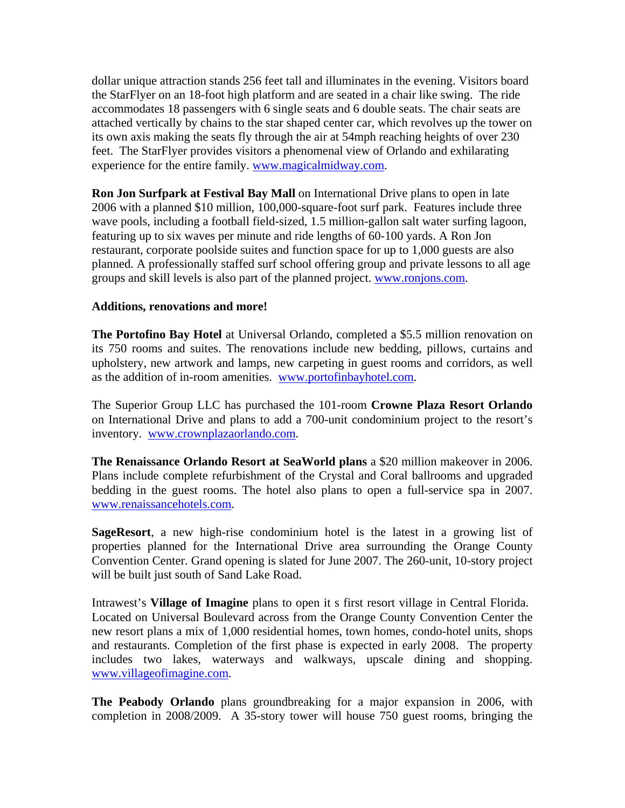dollar unique attraction stands 256 feet tall and illuminates in the evening. Visitors board the StarFlyer on an 18-foot high platform and are seated in a chair like swing. The ride accommodates 18 passengers with 6 single seats and 6 double seats. The chair seats are attached vertically by chains to the star shaped center car, which revolves up the tower on its own axis making the seats fly through the air at 54mph reaching heights of over 230 feet. The StarFlyer provides visitors a phenomenal view of Orlando and exhilarating experience for the entire family. [www.magicalmidway.com.](http://www.magicalmidway.com/)

**Ron Jon Surfpark at Festival Bay Mall** on International Drive plans to open in late 2006 with a planned \$10 million, 100,000-square-foot surf park. Features include three wave pools, including a football field-sized, 1.5 million-gallon salt water surfing lagoon, featuring up to six waves per minute and ride lengths of 60-100 yards. A Ron Jon restaurant, corporate poolside suites and function space for up to 1,000 guests are also planned. A professionally staffed surf school offering group and private lessons to all age groups and skill levels is also part of the planned project. [www.ronjons.com.](http://www.ronjons.com/)

### **Additions, renovations and more!**

**The Portofino Bay Hotel** at Universal Orlando, completed a \$5.5 million renovation on its 750 rooms and suites. The renovations include new bedding, pillows, curtains and upholstery, new artwork and lamps, new carpeting in guest rooms and corridors, as well as the addition of in-room amenities. [www.portofinbayhotel.com](http://www.portofinbayhotel.com/).

The Superior Group LLC has purchased the 101-room **Crowne Plaza Resort Orlando** on International Drive and plans to add a 700-unit condominium project to the resort's inventory. [www.crownplazaorlando.com.](http://www.crownplazaorlando.com/)

**The Renaissance Orlando Resort at SeaWorld plans** a \$20 million makeover in 2006. Plans include complete refurbishment of the Crystal and Coral ballrooms and upgraded bedding in the guest rooms. The hotel also plans to open a full-service spa in 2007. [www.renaissancehotels.com.](http://www.renaissancehotels.com/)

**SageResort**, a new high-rise condominium hotel is the latest in a growing list of properties planned for the International Drive area surrounding the Orange County Convention Center. Grand opening is slated for June 2007. The 260-unit, 10-story project will be built just south of Sand Lake Road.

Intrawest's **Village of Imagine** plans to open it s first resort village in Central Florida. Located on Universal Boulevard across from the Orange County Convention Center the new resort plans a mix of 1,000 residential homes, town homes, condo-hotel units, shops and restaurants. Completion of the first phase is expected in early 2008. The property includes two lakes, waterways and walkways, upscale dining and shopping. [www.villageofimagine.com.](http://www.villageofimagine.com/)

**The Peabody Orlando** plans groundbreaking for a major expansion in 2006, with completion in 2008/2009. A 35-story tower will house 750 guest rooms, bringing the